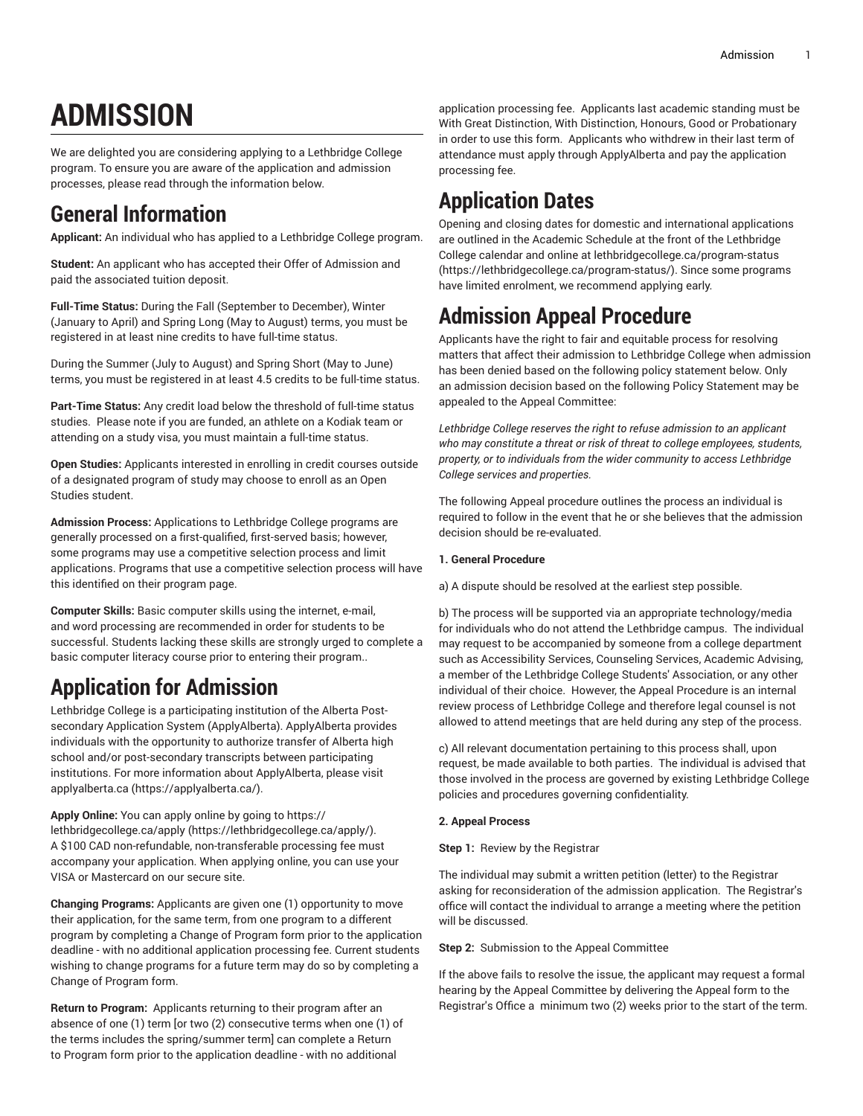# **ADMISSION**

We are delighted you are considering applying to a Lethbridge College program. To ensure you are aware of the application and admission processes, please read through the information below.

### **General Information**

**Applicant:** An individual who has applied to a Lethbridge College program.

**Student:** An applicant who has accepted their Offer of Admission and paid the associated tuition deposit.

**Full-Time Status:** During the Fall (September to December), Winter (January to April) and Spring Long (May to August) terms, you must be registered in at least nine credits to have full-time status.

During the Summer (July to August) and Spring Short (May to June) terms, you must be registered in at least 4.5 credits to be full-time status.

**Part-Time Status:** Any credit load below the threshold of full-time status studies. Please note if you are funded, an athlete on a Kodiak team or attending on a study visa, you must maintain a full-time status.

**Open Studies:** Applicants interested in enrolling in credit courses outside of a designated program of study may choose to enroll as an Open Studies student.

**Admission Process:** Applications to Lethbridge College programs are generally processed on a first-qualified, first-served basis; however, some programs may use a competitive selection process and limit applications. Programs that use a competitive selection process will have this identified on their program page.

**Computer Skills:** Basic computer skills using the internet, e-mail, and word processing are recommended in order for students to be successful. Students lacking these skills are strongly urged to complete a basic computer literacy course prior to entering their program..

### **Application for Admission**

Lethbridge College is a participating institution of the Alberta Postsecondary Application System (ApplyAlberta). ApplyAlberta provides individuals with the opportunity to authorize transfer of Alberta high school and/or post-secondary transcripts between participating institutions. For more information about ApplyAlberta, please visit [applyalberta.ca](https://applyalberta.ca/) (<https://applyalberta.ca/>).

**Apply Online:** You can apply online by going to [https://](https://lethbridgecollege.ca/apply/) [lethbridgecollege.ca/apply \(https://lethbridgecollege.ca/apply/](https://lethbridgecollege.ca/apply/)). A \$100 CAD non-refundable, non-transferable processing fee must accompany your application. When applying online, you can use your VISA or Mastercard on our secure site.

**Changing Programs:** Applicants are given one (1) opportunity to move their application, for the same term, from one program to a different program by completing a Change of Program form prior to the application deadline - with no additional application processing fee. Current students wishing to change programs for a future term may do so by completing a Change of Program form.

**Return to Program:** Applicants returning to their program after an absence of one (1) term [or two (2) consecutive terms when one (1) of the terms includes the spring/summer term] can complete a Return to Program form prior to the application deadline - with no additional

application processing fee. Applicants last academic standing must be With Great Distinction, With Distinction, Honours, Good or Probationary in order to use this form. Applicants who withdrew in their last term of attendance must apply through ApplyAlberta and pay the application processing fee.

# **Application Dates**

Opening and closing dates for domestic and international applications are outlined in the Academic Schedule at the front of the Lethbridge College calendar and online at [lethbridgecollege.ca/program-status](https://lethbridgecollege.ca/program-status/) [\(https://lethbridgecollege.ca/program-status/](https://lethbridgecollege.ca/program-status/)). Since some programs have limited enrolment, we recommend applying early.

## **Admission Appeal Procedure**

Applicants have the right to fair and equitable process for resolving matters that affect their admission to Lethbridge College when admission has been denied based on the following policy statement below. Only an admission decision based on the following Policy Statement may be appealed to the Appeal Committee:

*Lethbridge College reserves the right to refuse admission to an applicant who may constitute a threat or risk of threat to college employees, students, property, or to individuals from the wider community to access Lethbridge College services and properties.*

The following Appeal procedure outlines the process an individual is required to follow in the event that he or she believes that the admission decision should be re-evaluated.

#### **1. General Procedure**

a) A dispute should be resolved at the earliest step possible.

b) The process will be supported via an appropriate technology/media for individuals who do not attend the Lethbridge campus. The individual may request to be accompanied by someone from a college department such as Accessibility Services, Counseling Services, Academic Advising, a member of the Lethbridge College Students' Association, or any other individual of their choice. However, the Appeal Procedure is an internal review process of Lethbridge College and therefore legal counsel is not allowed to attend meetings that are held during any step of the process.

c) All relevant documentation pertaining to this process shall, upon request, be made available to both parties. The individual is advised that those involved in the process are governed by existing Lethbridge College policies and procedures governing confidentiality.

#### **2. Appeal Process**

**Step 1: Review by the Registrar** 

The individual may submit a written petition (letter) to the Registrar asking for reconsideration of the admission application. The Registrar's office will contact the individual to arrange a meeting where the petition will be discussed.

**Step 2:** Submission to the Appeal Committee

If the above fails to resolve the issue, the applicant may request a formal hearing by the Appeal Committee by delivering the Appeal form to the Registrar's Office a minimum two (2) weeks prior to the start of the term.